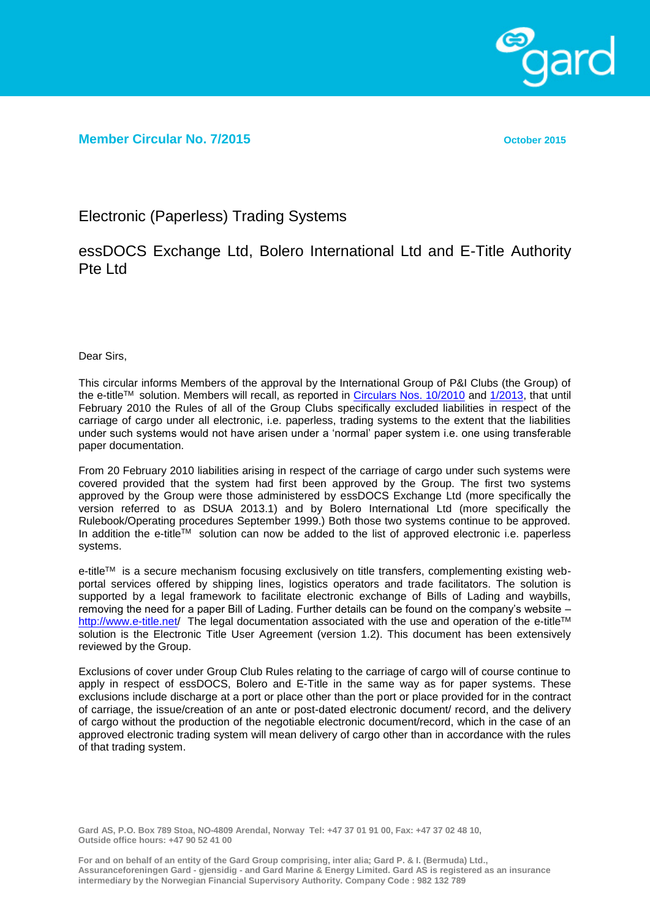

**Member Circular No. 7/2015 October 2015**

Electronic (Paperless) Trading Systems

essDOCS Exchange Ltd, Bolero International Ltd and E-Title Authority Pte Ltd

Dear Sirs,

This circular informs Members of the approval by the International Group of P&I Clubs (the Group) of the e-title™ solution. Members will recall, as reported in [Circulars Nos. 10/2010](http://www.gard.no/Content/8475981/Member%20Circular%2010%202010%20Paperless%20trading%20system.pdf) and [1/2013,](http://www.gard.no/Content/20738185/Member%20Circular%201%202013%20Electronic%20paper%20systems%20(paperless).pdf) that until February 2010 the Rules of all of the Group Clubs specifically excluded liabilities in respect of the carriage of cargo under all electronic, i.e. paperless, trading systems to the extent that the liabilities under such systems would not have arisen under a 'normal' paper system i.e. one using transferable paper documentation.

From 20 February 2010 liabilities arising in respect of the carriage of cargo under such systems were covered provided that the system had first been approved by the Group. The first two systems approved by the Group were those administered by essDOCS Exchange Ltd (more specifically the version referred to as DSUA 2013.1) and by Bolero International Ltd (more specifically the Rulebook/Operating procedures September 1999.) Both those two systems continue to be approved. In addition the e-title<sup>TM</sup> solution can now be added to the list of approved electronic i.e. paperless systems.

e-title™ is a secure mechanism focusing exclusively on title transfers, complementing existing webportal services offered by shipping lines, logistics operators and trade facilitators. The solution is supported by a legal framework to facilitate electronic exchange of Bills of Lading and waybills, removing the need for a paper Bill of Lading. Further details can be found on the company's website – <http://www.e-title.net/> The legal documentation associated with the use and operation of the e-title™ solution is the Electronic Title User Agreement (version 1.2). This document has been extensively reviewed by the Group.

Exclusions of cover under Group Club Rules relating to the carriage of cargo will of course continue to apply in respect of essDOCS, Bolero and E-Title in the same way as for paper systems. These exclusions include discharge at a port or place other than the port or place provided for in the contract of carriage, the issue/creation of an ante or post-dated electronic document/ record, and the delivery of cargo without the production of the negotiable electronic document/record, which in the case of an approved electronic trading system will mean delivery of cargo other than in accordance with the rules of that trading system.

**Gard AS, P.O. Box 789 Stoa, NO-4809 Arendal, Norway Tel: +47 37 01 91 00, Fax: +47 37 02 48 10, Outside office hours: +47 90 52 41 00**